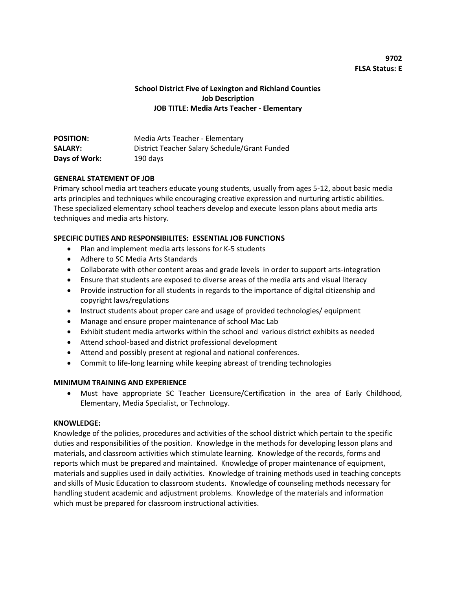# **School District Five of Lexington and Richland Counties Job Description JOB TITLE: Media Arts Teacher - Elementary**

| <b>POSITION:</b> | Media Arts Teacher - Elementary               |
|------------------|-----------------------------------------------|
| <b>SALARY:</b>   | District Teacher Salary Schedule/Grant Funded |
| Days of Work:    | 190 days                                      |

## **GENERAL STATEMENT OF JOB**

Primary school media art teachers educate young students, usually from ages 5-12, about basic media arts principles and techniques while encouraging creative expression and nurturing artistic abilities. These specialized elementary school teachers develop and execute lesson plans about media arts techniques and media arts history.

#### **SPECIFIC DUTIES AND RESPONSIBILITES: ESSENTIAL JOB FUNCTIONS**

- Plan and implement media arts lessons for K-5 students
- Adhere to SC Media Arts Standards
- Collaborate with other content areas and grade levels in order to support arts-integration
- Ensure that students are exposed to diverse areas of the media arts and visual literacy
- Provide instruction for all students in regards to the importance of digital citizenship and copyright laws/regulations
- Instruct students about proper care and usage of provided technologies/ equipment
- Manage and ensure proper maintenance of school Mac Lab
- Exhibit student media artworks within the school and various district exhibits as needed
- Attend school-based and district professional development
- Attend and possibly present at regional and national conferences.
- Commit to life-long learning while keeping abreast of trending technologies

## **MINIMUM TRAINING AND EXPERIENCE**

 Must have appropriate SC Teacher Licensure/Certification in the area of Early Childhood, Elementary, Media Specialist, or Technology.

## **KNOWLEDGE:**

Knowledge of the policies, procedures and activities of the school district which pertain to the specific duties and responsibilities of the position. Knowledge in the methods for developing lesson plans and materials, and classroom activities which stimulate learning. Knowledge of the records, forms and reports which must be prepared and maintained. Knowledge of proper maintenance of equipment, materials and supplies used in daily activities. Knowledge of training methods used in teaching concepts and skills of Music Education to classroom students. Knowledge of counseling methods necessary for handling student academic and adjustment problems. Knowledge of the materials and information which must be prepared for classroom instructional activities.